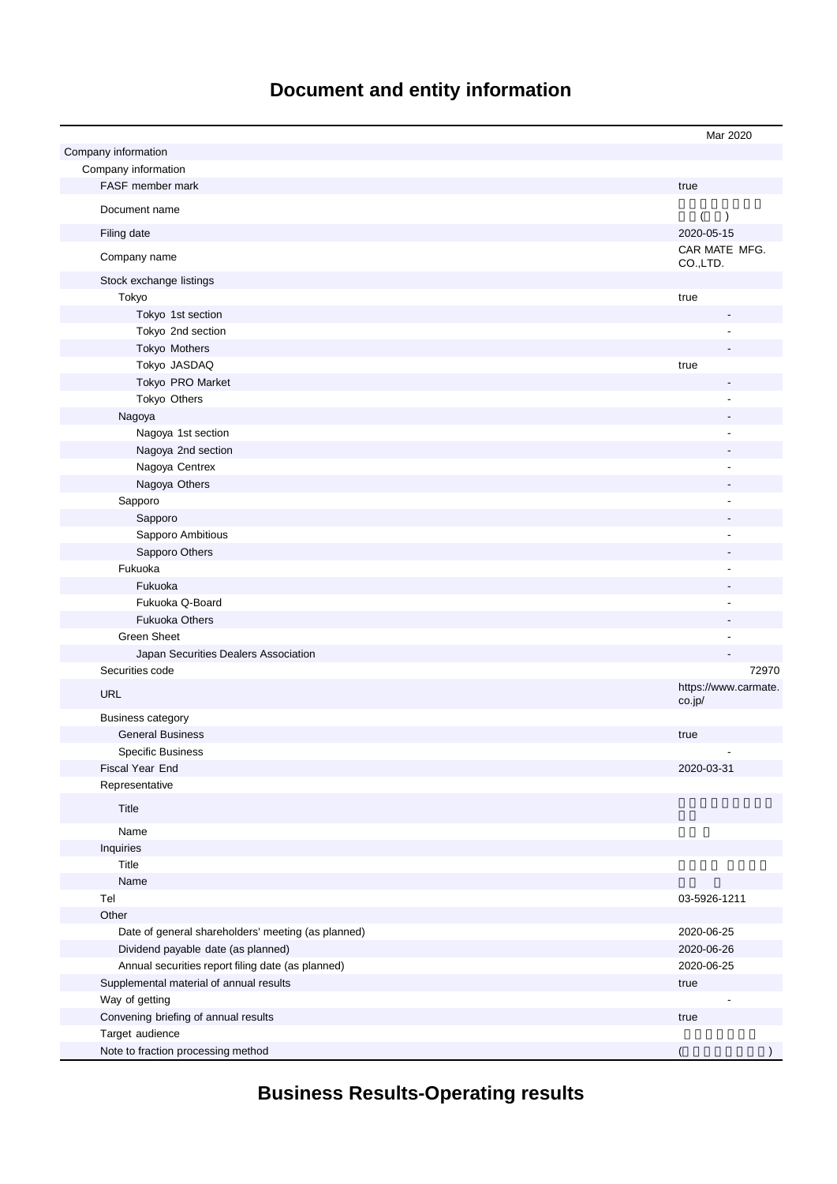# **Document and entity information**

|                                                         | Mar 2020                       |
|---------------------------------------------------------|--------------------------------|
| Company information<br>Company information              |                                |
| FASF member mark                                        | true                           |
|                                                         |                                |
| Document name                                           | (<br>$\lambda$                 |
| Filing date                                             | 2020-05-15                     |
| Company name                                            | CAR MATE MFG.<br>CO.,LTD.      |
| Stock exchange listings                                 |                                |
| Tokyo                                                   | true                           |
| Tokyo 1st section                                       |                                |
| Tokyo 2nd section                                       |                                |
| Tokyo Mothers                                           |                                |
| Tokyo JASDAQ                                            | true                           |
| Tokyo PRO Market                                        |                                |
| Tokyo Others                                            |                                |
| Nagoya                                                  |                                |
| Nagoya 1st section                                      |                                |
| Nagoya 2nd section                                      |                                |
| Nagoya Centrex                                          |                                |
| Nagoya Others                                           |                                |
| Sapporo                                                 |                                |
| Sapporo                                                 |                                |
| Sapporo Ambitious                                       |                                |
| Sapporo Others                                          |                                |
| Fukuoka                                                 |                                |
| Fukuoka                                                 |                                |
| Fukuoka Q-Board                                         |                                |
| <b>Fukuoka Others</b>                                   |                                |
| <b>Green Sheet</b>                                      |                                |
| Japan Securities Dealers Association                    |                                |
| Securities code                                         | 72970                          |
| <b>URL</b>                                              | https://www.carmate.<br>co.jp/ |
| <b>Business category</b>                                |                                |
| <b>General Business</b>                                 | true                           |
| <b>Specific Business</b>                                |                                |
| Fiscal Year End                                         | 2020-03-31                     |
| Representative                                          |                                |
| Title                                                   |                                |
| Name                                                    |                                |
| Inquiries                                               |                                |
| Title                                                   |                                |
| Name                                                    |                                |
| Tel                                                     | 03-5926-1211                   |
| Other                                                   |                                |
| Date of general shareholders' meeting (as planned)      | 2020-06-25                     |
| Dividend payable date (as planned)                      | 2020-06-26                     |
| Annual securities report filing date (as planned)       | 2020-06-25                     |
| Supplemental material of annual results                 | true                           |
| Way of getting                                          |                                |
| Convening briefing of annual results<br>Target audience | true                           |
| Note to fraction processing method                      | $\overline{ }$                 |
|                                                         |                                |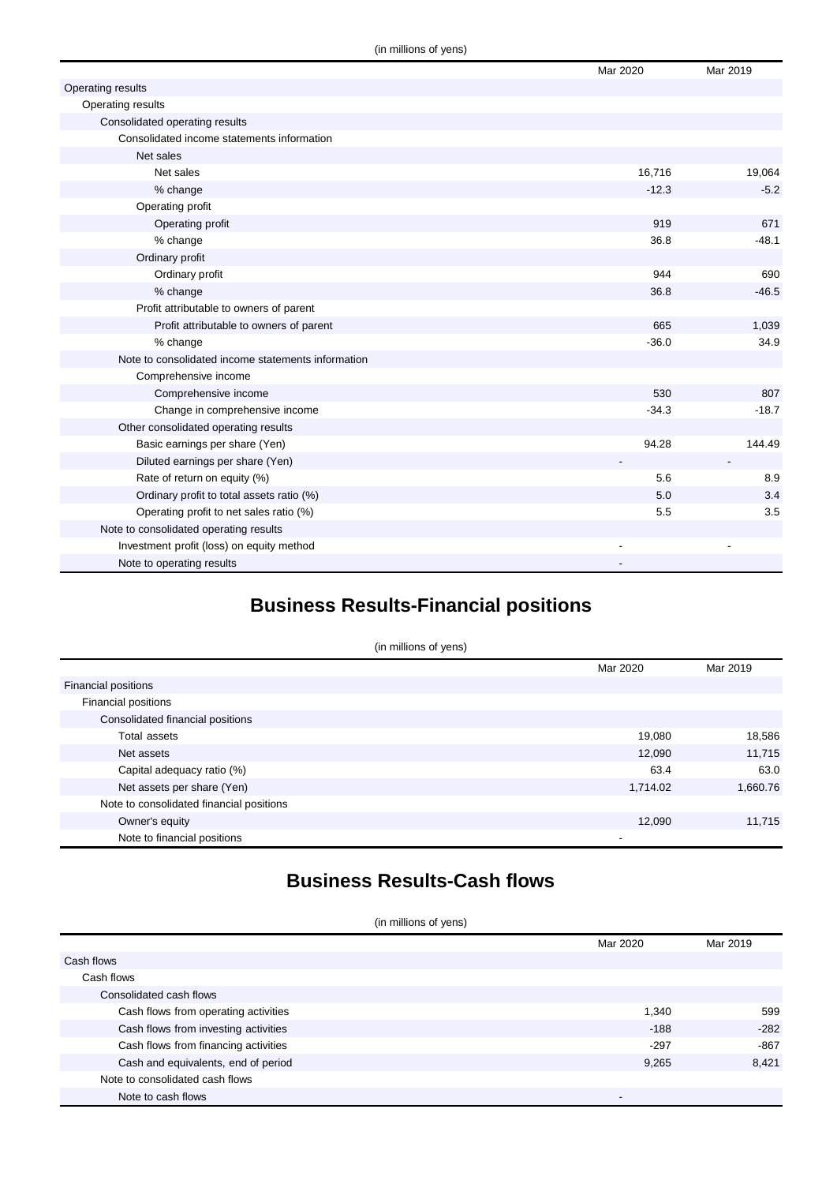|                                                    | Mar 2020 | Mar 2019                 |
|----------------------------------------------------|----------|--------------------------|
| Operating results                                  |          |                          |
| Operating results                                  |          |                          |
| Consolidated operating results                     |          |                          |
| Consolidated income statements information         |          |                          |
| Net sales                                          |          |                          |
| Net sales                                          | 16,716   | 19,064                   |
| % change                                           | $-12.3$  | $-5.2$                   |
| Operating profit                                   |          |                          |
| Operating profit                                   | 919      | 671                      |
| % change                                           | 36.8     | $-48.1$                  |
| Ordinary profit                                    |          |                          |
| Ordinary profit                                    | 944      | 690                      |
| % change                                           | 36.8     | $-46.5$                  |
| Profit attributable to owners of parent            |          |                          |
| Profit attributable to owners of parent            | 665      | 1,039                    |
| % change                                           | $-36.0$  | 34.9                     |
| Note to consolidated income statements information |          |                          |
| Comprehensive income                               |          |                          |
| Comprehensive income                               | 530      | 807                      |
| Change in comprehensive income                     | $-34.3$  | $-18.7$                  |
| Other consolidated operating results               |          |                          |
| Basic earnings per share (Yen)                     | 94.28    | 144.49                   |
| Diluted earnings per share (Yen)                   |          | $\overline{\phantom{a}}$ |
| Rate of return on equity (%)                       | 5.6      | 8.9                      |
| Ordinary profit to total assets ratio (%)          | 5.0      | 3.4                      |
| Operating profit to net sales ratio (%)            | 5.5      | 3.5                      |
| Note to consolidated operating results             |          |                          |
| Investment profit (loss) on equity method          |          |                          |
| Note to operating results                          |          |                          |

### **Business Results-Financial positions**

| (in millions of yens)                    |                          |          |
|------------------------------------------|--------------------------|----------|
|                                          | Mar 2020                 | Mar 2019 |
| <b>Financial positions</b>               |                          |          |
| Financial positions                      |                          |          |
| Consolidated financial positions         |                          |          |
| Total assets                             | 19,080                   | 18,586   |
| Net assets                               | 12,090                   | 11,715   |
| Capital adequacy ratio (%)               | 63.4                     | 63.0     |
| Net assets per share (Yen)               | 1,714.02                 | 1,660.76 |
| Note to consolidated financial positions |                          |          |
| Owner's equity                           | 12,090                   | 11,715   |
| Note to financial positions              | $\overline{\phantom{a}}$ |          |

### **Business Results-Cash flows**

(in millions of yens)

|                                      | Mar 2020 | Mar 2019 |
|--------------------------------------|----------|----------|
| Cash flows                           |          |          |
| Cash flows                           |          |          |
| Consolidated cash flows              |          |          |
| Cash flows from operating activities | 1,340    | 599      |
| Cash flows from investing activities | $-188$   | $-282$   |
| Cash flows from financing activities | $-297$   | $-867$   |
| Cash and equivalents, end of period  | 9,265    | 8.421    |
| Note to consolidated cash flows      |          |          |
| Note to cash flows                   |          |          |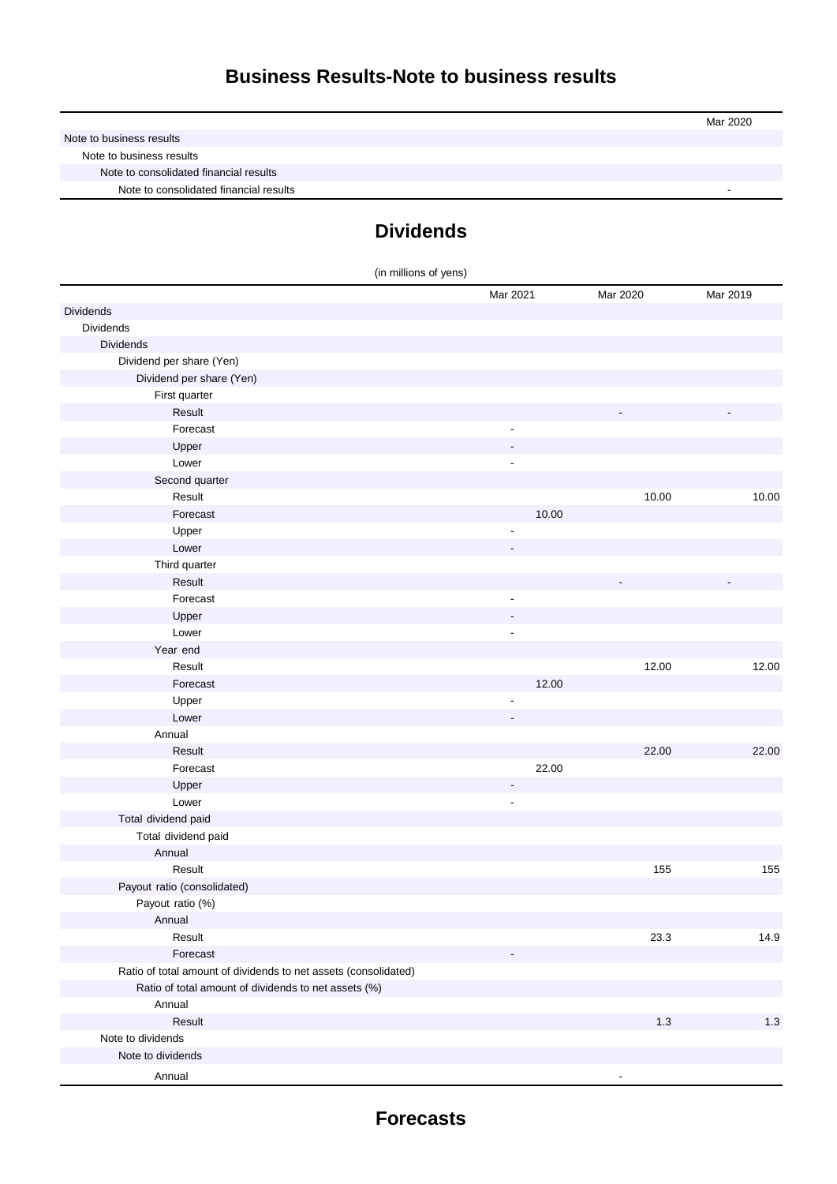|                                        | Mar 2020 |
|----------------------------------------|----------|
| Note to business results               |          |
| Note to business results               |          |
| Note to consolidated financial results |          |
| Note to consolidated financial results |          |

### **Dividends**

| (in millions of yens)                                           |                          |          |          |
|-----------------------------------------------------------------|--------------------------|----------|----------|
|                                                                 | Mar 2021                 | Mar 2020 | Mar 2019 |
| Dividends                                                       |                          |          |          |
| Dividends                                                       |                          |          |          |
| <b>Dividends</b>                                                |                          |          |          |
| Dividend per share (Yen)                                        |                          |          |          |
| Dividend per share (Yen)                                        |                          |          |          |
| First quarter                                                   |                          |          |          |
| Result                                                          |                          |          |          |
| Forecast                                                        |                          |          |          |
| Upper                                                           |                          |          |          |
| Lower                                                           | $\overline{\phantom{a}}$ |          |          |
| Second quarter                                                  |                          |          |          |
| Result                                                          |                          | 10.00    | 10.00    |
| Forecast                                                        | 10.00                    |          |          |
| Upper                                                           |                          |          |          |
| Lower                                                           |                          |          |          |
| Third quarter                                                   |                          |          |          |
| Result                                                          |                          |          |          |
| Forecast                                                        | $\overline{\phantom{a}}$ |          |          |
| Upper                                                           |                          |          |          |
| Lower                                                           | $\overline{\phantom{a}}$ |          |          |
| Year end                                                        |                          |          |          |
| Result                                                          |                          | 12.00    | 12.00    |
| Forecast                                                        | 12.00                    |          |          |
| Upper                                                           |                          |          |          |
| Lower                                                           |                          |          |          |
| Annual                                                          |                          |          |          |
| Result                                                          |                          | 22.00    | 22.00    |
| Forecast                                                        | 22.00                    |          |          |
| Upper                                                           |                          |          |          |
| Lower                                                           | $\overline{a}$           |          |          |
| Total dividend paid                                             |                          |          |          |
| Total dividend paid                                             |                          |          |          |
| Annual                                                          |                          |          |          |
| Result                                                          |                          | 155      | 155      |
| Payout ratio (consolidated)                                     |                          |          |          |
| Payout ratio (%)                                                |                          |          |          |
| Annual                                                          |                          |          |          |
| Result                                                          |                          | 23.3     | 14.9     |
| Forecast                                                        |                          |          |          |
| Ratio of total amount of dividends to net assets (consolidated) |                          |          |          |
| Ratio of total amount of dividends to net assets (%)            |                          |          |          |
| Annual                                                          |                          |          |          |
| Result                                                          |                          | 1.3      | 1.3      |
| Note to dividends                                               |                          |          |          |
| Note to dividends                                               |                          |          |          |
| Annual                                                          |                          |          |          |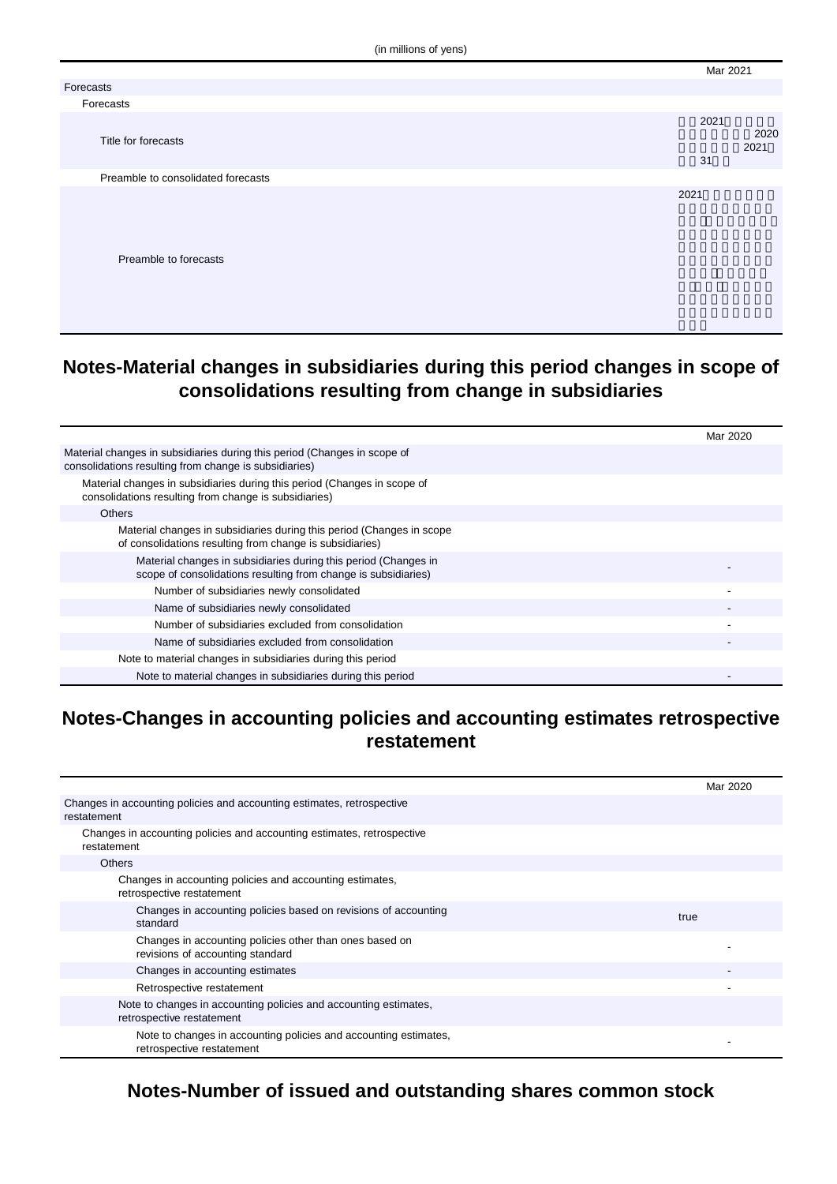(in millions of yens)

|                                    | Mar 2021   |              |
|------------------------------------|------------|--------------|
| Forecasts                          |            |              |
| Forecasts                          |            |              |
| Title for forecasts                | 2021<br>31 | 2020<br>2021 |
| Preamble to consolidated forecasts |            |              |
| Preamble to forecasts              | 2021       |              |

#### **Notes-Material changes in subsidiaries during this period changes in scope of consolidations resulting from change in subsidiaries**

|                                                                                                                                   | Mar 2020 |
|-----------------------------------------------------------------------------------------------------------------------------------|----------|
| Material changes in subsidiaries during this period (Changes in scope of<br>consolidations resulting from change is subsidiaries) |          |
| Material changes in subsidiaries during this period (Changes in scope of<br>consolidations resulting from change is subsidiaries) |          |
| <b>Others</b>                                                                                                                     |          |
| Material changes in subsidiaries during this period (Changes in scope<br>of consolidations resulting from change is subsidiaries) |          |
| Material changes in subsidiaries during this period (Changes in<br>scope of consolidations resulting from change is subsidiaries) |          |
| Number of subsidiaries newly consolidated                                                                                         |          |
| Name of subsidiaries newly consolidated                                                                                           |          |
| Number of subsidiaries excluded from consolidation                                                                                |          |
| Name of subsidiaries excluded from consolidation                                                                                  |          |
| Note to material changes in subsidiaries during this period                                                                       |          |
| Note to material changes in subsidiaries during this period                                                                       |          |

### **Notes-Changes in accounting policies and accounting estimates retrospective restatement**

|                                                                                               | Mar 2020 |
|-----------------------------------------------------------------------------------------------|----------|
| Changes in accounting policies and accounting estimates, retrospective<br>restatement         |          |
| Changes in accounting policies and accounting estimates, retrospective<br>restatement         |          |
| <b>Others</b>                                                                                 |          |
| Changes in accounting policies and accounting estimates,<br>retrospective restatement         |          |
| Changes in accounting policies based on revisions of accounting<br>standard                   | true     |
| Changes in accounting policies other than ones based on<br>revisions of accounting standard   |          |
| Changes in accounting estimates                                                               |          |
| Retrospective restatement                                                                     |          |
| Note to changes in accounting policies and accounting estimates,<br>retrospective restatement |          |
| Note to changes in accounting policies and accounting estimates,<br>retrospective restatement |          |

**Notes-Number of issued and outstanding shares common stock**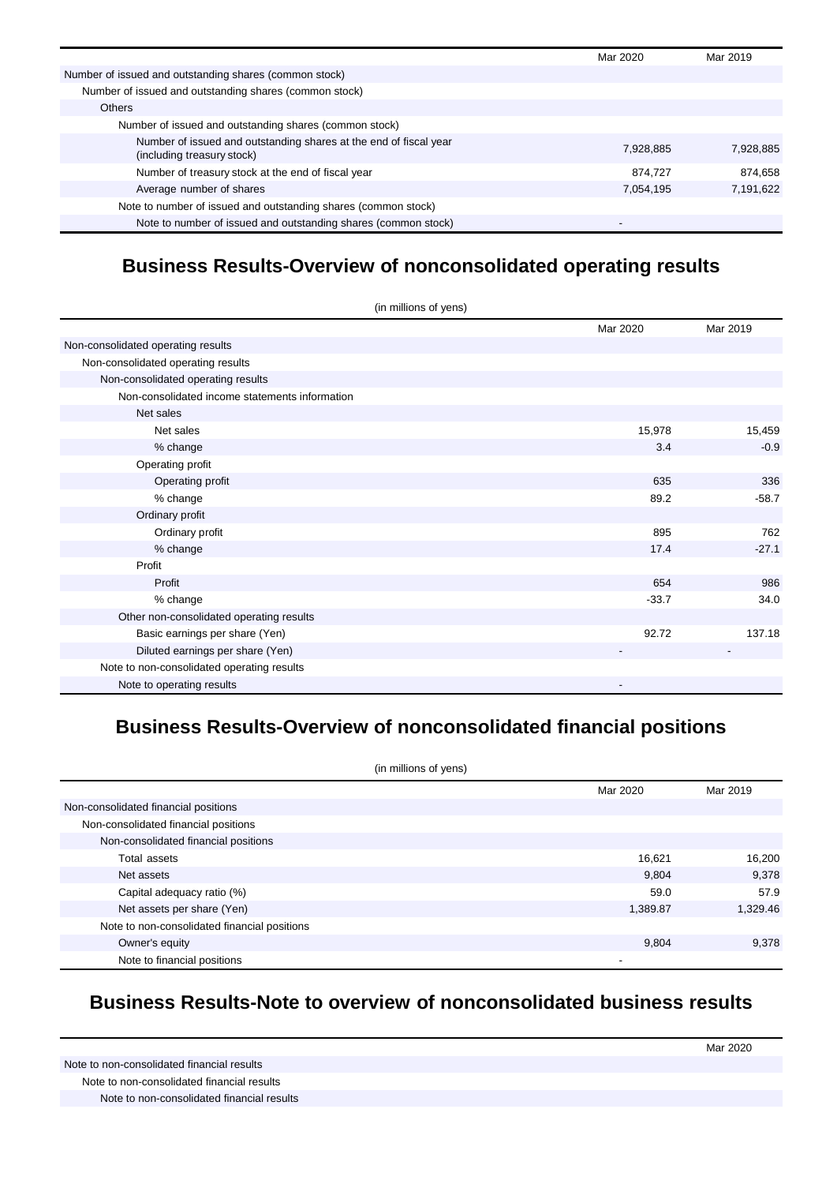|                                                                                                 | Mar 2020  | Mar 2019  |
|-------------------------------------------------------------------------------------------------|-----------|-----------|
| Number of issued and outstanding shares (common stock)                                          |           |           |
| Number of issued and outstanding shares (common stock)                                          |           |           |
| <b>Others</b>                                                                                   |           |           |
| Number of issued and outstanding shares (common stock)                                          |           |           |
| Number of issued and outstanding shares at the end of fiscal year<br>(including treasury stock) | 7,928,885 | 7,928,885 |
| Number of treasury stock at the end of fiscal year                                              | 874.727   | 874.658   |
| Average number of shares                                                                        | 7,054,195 | 7,191,622 |
| Note to number of issued and outstanding shares (common stock)                                  |           |           |
| Note to number of issued and outstanding shares (common stock)                                  |           |           |

## **Business Results-Overview of nonconsolidated operating results**

| (in millions of yens)                          |          |          |
|------------------------------------------------|----------|----------|
|                                                | Mar 2020 | Mar 2019 |
| Non-consolidated operating results             |          |          |
| Non-consolidated operating results             |          |          |
| Non-consolidated operating results             |          |          |
| Non-consolidated income statements information |          |          |
| Net sales                                      |          |          |
| Net sales                                      | 15,978   | 15,459   |
| % change                                       | 3.4      | $-0.9$   |
| Operating profit                               |          |          |
| Operating profit                               | 635      | 336      |
| % change                                       | 89.2     | $-58.7$  |
| Ordinary profit                                |          |          |
| Ordinary profit                                | 895      | 762      |
| % change                                       | 17.4     | $-27.1$  |
| Profit                                         |          |          |
| Profit                                         | 654      | 986      |
| % change                                       | $-33.7$  | 34.0     |
| Other non-consolidated operating results       |          |          |
| Basic earnings per share (Yen)                 | 92.72    | 137.18   |
| Diluted earnings per share (Yen)               |          |          |
| Note to non-consolidated operating results     |          |          |
| Note to operating results                      |          |          |

# **Business Results-Overview of nonconsolidated financial positions**

| (in millions of yens)                        |          |          |
|----------------------------------------------|----------|----------|
|                                              | Mar 2020 | Mar 2019 |
| Non-consolidated financial positions         |          |          |
| Non-consolidated financial positions         |          |          |
| Non-consolidated financial positions         |          |          |
| Total assets                                 | 16,621   | 16,200   |
| Net assets                                   | 9,804    | 9,378    |
| Capital adequacy ratio (%)                   | 59.0     | 57.9     |
| Net assets per share (Yen)                   | 1,389.87 | 1,329.46 |
| Note to non-consolidated financial positions |          |          |
| Owner's equity                               | 9,804    | 9,378    |
| Note to financial positions                  |          |          |

#### **Business Results-Note to overview of nonconsolidated business results**

Mar 2020 Note to non-consolidated financial results Note to non-consolidated financial results Note to non-consolidated financial results